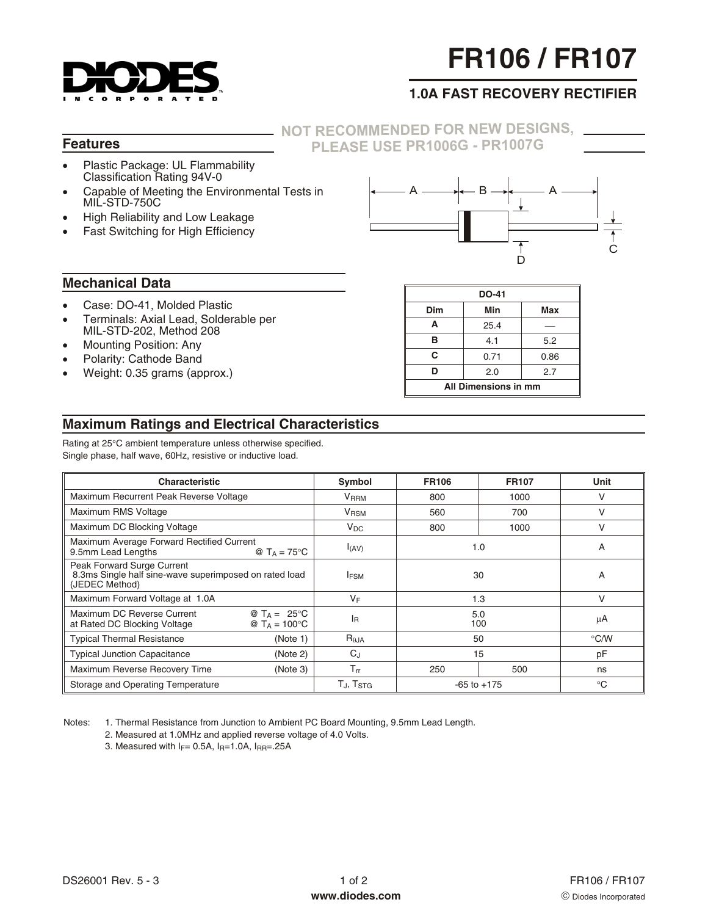

# **FR106 / FR107**

# **1.0A FAST RECOVERY RECTIFIER**

#### **Features**

### **NOT [RECOMMENDED](http://www.diodes.com/datasheets/ds27001.pdf) FOR NEW DESIGNS, PLEASE USE PR1006G - PR1007G**

- $\bullet$  Plastic Package: UL Flammability Classification Rating 94V-0
- - Capable of Meeting the Environmental Tests in MIL-STD-750C
- -High Reliability and Low Leakage
- $\bullet$ Fast Switching for High Efficiency



#### **Mechanical Data**

- -Case: DO-41, Molded Plastic
- $\bullet$  Terminals: Axial Lead, Solderable per MIL-STD-202, Method 208
- -Mounting Position: Any
- -Polarity: Cathode Band
- -Weight: 0.35 grams (approx.)

| <b>DO-41</b>         |      |      |  |  |
|----------------------|------|------|--|--|
| Dim                  | Min  | Max  |  |  |
| A                    | 25.4 |      |  |  |
| в                    | 4.1  | 5.2  |  |  |
| C                    | 0.71 | 0.86 |  |  |
| D                    | 2.0  | 2.7  |  |  |
| All Dimensions in mm |      |      |  |  |

## **Maximum Ratings and Electrical Characteristics**

Rating at 25°C ambient temperature unless otherwise specified. Single phase, half wave, 60Hz, resistive or inductive load.

| <b>Characteristic</b>                                                                                         | Symbol                      | <b>FR106</b>    | <b>FR107</b> | Unit          |
|---------------------------------------------------------------------------------------------------------------|-----------------------------|-----------------|--------------|---------------|
| Maximum Recurrent Peak Reverse Voltage                                                                        | VRRM                        | 800             | 1000         | v             |
| Maximum RMS Voltage                                                                                           | V <sub>RSM</sub>            | 560             | 700          |               |
| Maximum DC Blocking Voltage                                                                                   | $V_{DC}$                    | 800             | 1000         | V             |
| Maximum Average Forward Rectified Current<br>9.5mm Lead Lengths<br>@ $T_A = 75$ °C                            | I(AV)                       | 1.0             |              | A             |
| Peak Forward Surge Current<br>8.3ms Single half sine-wave superimposed on rated load<br>(JEDEC Method)        | <b>IFSM</b>                 | 30              |              | A             |
| Maximum Forward Voltage at 1.0A                                                                               | VF                          |                 | 1.3          | V             |
| Maximum DC Reverse Current<br>@ $T_A = 25^{\circ}C$<br>@ $T_A = 100^{\circ}C$<br>at Rated DC Blocking Voltage | <sup>I</sup> R              | 5.0<br>100      |              | μA            |
| <b>Typical Thermal Resistance</b><br>(Note 1)                                                                 | $R_{\theta,JA}$             | 50              |              | $\degree$ C/W |
| <b>Typical Junction Capacitance</b><br>(Note 2)                                                               | $C_{.1}$                    | 15              |              | pF            |
| Maximum Reverse Recovery Time<br>(Note 3)                                                                     | $T_{rr}$                    | 250             | 500          | ns            |
| Storage and Operating Temperature                                                                             | $T_{\rm J}$ , $T_{\rm STG}$ | $-65$ to $+175$ |              | $^{\circ}C$   |

Notes: 1. Thermal Resistance from Junction to Ambient PC Board Mounting, 9.5mm Lead Length.

- 2. Measured at 1.0MHz and applied reverse voltage of 4.0 Volts.
	- 3. Measured with  $I_F$ = 0.5A,  $I_R$ =1.0A,  $I_{RR}$ =.25A